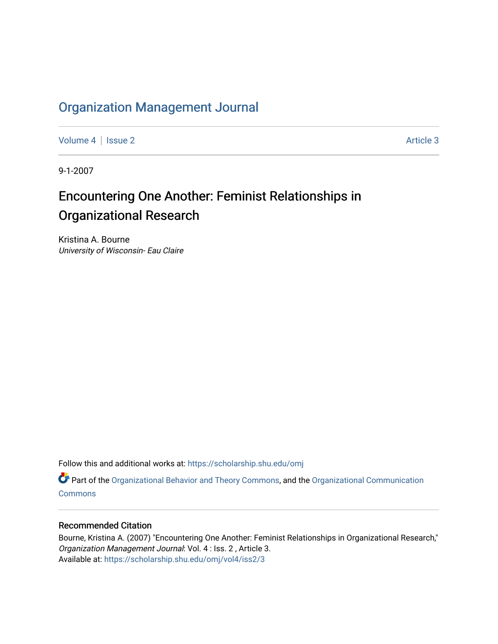### [Organization Management Journal](https://scholarship.shu.edu/omj)

[Volume 4](https://scholarship.shu.edu/omj/vol4) | [Issue 2](https://scholarship.shu.edu/omj/vol4/iss2) Article 3

9-1-2007

# Encountering One Another: Feminist Relationships in Organizational Research

Kristina A. Bourne University of Wisconsin- Eau Claire

Follow this and additional works at: [https://scholarship.shu.edu/omj](https://scholarship.shu.edu/omj?utm_source=scholarship.shu.edu%2Fomj%2Fvol4%2Fiss2%2F3&utm_medium=PDF&utm_campaign=PDFCoverPages) 

Part of the [Organizational Behavior and Theory Commons,](http://network.bepress.com/hgg/discipline/639?utm_source=scholarship.shu.edu%2Fomj%2Fvol4%2Fiss2%2F3&utm_medium=PDF&utm_campaign=PDFCoverPages) and the [Organizational Communication](http://network.bepress.com/hgg/discipline/335?utm_source=scholarship.shu.edu%2Fomj%2Fvol4%2Fiss2%2F3&utm_medium=PDF&utm_campaign=PDFCoverPages) **[Commons](http://network.bepress.com/hgg/discipline/335?utm_source=scholarship.shu.edu%2Fomj%2Fvol4%2Fiss2%2F3&utm_medium=PDF&utm_campaign=PDFCoverPages)** 

#### Recommended Citation

Bourne, Kristina A. (2007) "Encountering One Another: Feminist Relationships in Organizational Research," Organization Management Journal: Vol. 4 : Iss. 2 , Article 3. Available at: [https://scholarship.shu.edu/omj/vol4/iss2/3](https://scholarship.shu.edu/omj/vol4/iss2/3?utm_source=scholarship.shu.edu%2Fomj%2Fvol4%2Fiss2%2F3&utm_medium=PDF&utm_campaign=PDFCoverPages)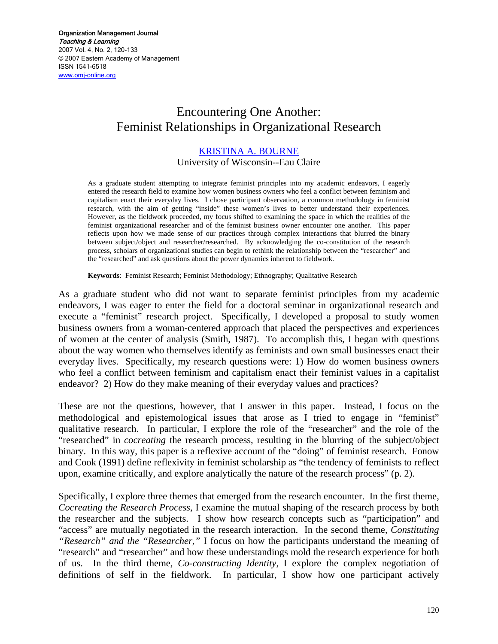Organization Management Journal Teaching & Learning 2007 Vol. 4, No. 2, 120-133 © 2007 Eastern Academy of Management ISSN 1541-6518 www.omj-online.org

### Encountering One Another: Feminist Relationships in Organizational Research

### KRISTINA A. BOURNE

University of Wisconsin--Eau Claire

As a graduate student attempting to integrate feminist principles into my academic endeavors, I eagerly entered the research field to examine how women business owners who feel a conflict between feminism and capitalism enact their everyday lives. I chose participant observation, a common methodology in feminist research, with the aim of getting "inside" these women's lives to better understand their experiences. However, as the fieldwork proceeded, my focus shifted to examining the space in which the realities of the feminist organizational researcher and of the feminist business owner encounter one another. This paper reflects upon how we made sense of our practices through complex interactions that blurred the binary between subject/object and researcher/researched. By acknowledging the co-constitution of the research process, scholars of organizational studies can begin to rethink the relationship between the "researcher" and the "researched" and ask questions about the power dynamics inherent to fieldwork.

**Keywords**: Feminist Research; Feminist Methodology; Ethnography; Qualitative Research

As a graduate student who did not want to separate feminist principles from my academic endeavors, I was eager to enter the field for a doctoral seminar in organizational research and execute a "feminist" research project. Specifically, I developed a proposal to study women business owners from a woman-centered approach that placed the perspectives and experiences of women at the center of analysis (Smith, 1987). To accomplish this, I began with questions about the way women who themselves identify as feminists and own small businesses enact their everyday lives. Specifically, my research questions were: 1) How do women business owners who feel a conflict between feminism and capitalism enact their feminist values in a capitalist endeavor? 2) How do they make meaning of their everyday values and practices?

These are not the questions, however, that I answer in this paper. Instead, I focus on the methodological and epistemological issues that arose as I tried to engage in "feminist" qualitative research. In particular, I explore the role of the "researcher" and the role of the "researched" in *cocreating* the research process, resulting in the blurring of the subject/object binary. In this way, this paper is a reflexive account of the "doing" of feminist research. Fonow and Cook (1991) define reflexivity in feminist scholarship as "the tendency of feminists to reflect upon, examine critically, and explore analytically the nature of the research process" (p. 2).

Specifically, I explore three themes that emerged from the research encounter. In the first theme, *Cocreating the Research Process*, I examine the mutual shaping of the research process by both the researcher and the subjects. I show how research concepts such as "participation" and "access" are mutually negotiated in the research interaction. In the second theme, *Constituting "Research" and the "Researcher,"* I focus on how the participants understand the meaning of "research" and "researcher" and how these understandings mold the research experience for both of us. In the third theme, *Co-constructing Identity*, I explore the complex negotiation of definitions of self in the fieldwork. In particular, I show how one participant actively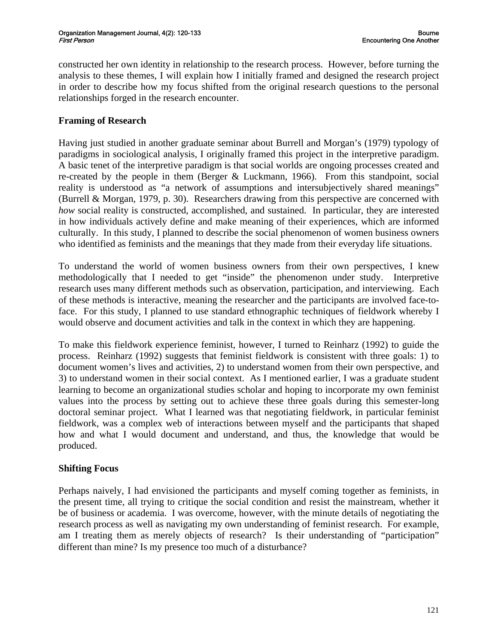constructed her own identity in relationship to the research process. However, before turning the analysis to these themes, I will explain how I initially framed and designed the research project in order to describe how my focus shifted from the original research questions to the personal relationships forged in the research encounter.

#### **Framing of Research**

Having just studied in another graduate seminar about Burrell and Morgan's (1979) typology of paradigms in sociological analysis, I originally framed this project in the interpretive paradigm. A basic tenet of the interpretive paradigm is that social worlds are ongoing processes created and re-created by the people in them (Berger & Luckmann, 1966). From this standpoint, social reality is understood as "a network of assumptions and intersubjectively shared meanings" (Burrell & Morgan, 1979, p. 30). Researchers drawing from this perspective are concerned with *how* social reality is constructed, accomplished, and sustained. In particular, they are interested in how individuals actively define and make meaning of their experiences, which are informed culturally. In this study, I planned to describe the social phenomenon of women business owners who identified as feminists and the meanings that they made from their everyday life situations.

To understand the world of women business owners from their own perspectives, I knew methodologically that I needed to get "inside" the phenomenon under study. Interpretive research uses many different methods such as observation, participation, and interviewing. Each of these methods is interactive, meaning the researcher and the participants are involved face-toface. For this study, I planned to use standard ethnographic techniques of fieldwork whereby I would observe and document activities and talk in the context in which they are happening.

To make this fieldwork experience feminist, however, I turned to Reinharz (1992) to guide the process. Reinharz (1992) suggests that feminist fieldwork is consistent with three goals: 1) to document women's lives and activities, 2) to understand women from their own perspective, and 3) to understand women in their social context. As I mentioned earlier, I was a graduate student learning to become an organizational studies scholar and hoping to incorporate my own feminist values into the process by setting out to achieve these three goals during this semester-long doctoral seminar project. What I learned was that negotiating fieldwork, in particular feminist fieldwork, was a complex web of interactions between myself and the participants that shaped how and what I would document and understand, and thus, the knowledge that would be produced.

#### **Shifting Focus**

Perhaps naively, I had envisioned the participants and myself coming together as feminists, in the present time, all trying to critique the social condition and resist the mainstream, whether it be of business or academia. I was overcome, however, with the minute details of negotiating the research process as well as navigating my own understanding of feminist research. For example, am I treating them as merely objects of research? Is their understanding of "participation" different than mine? Is my presence too much of a disturbance?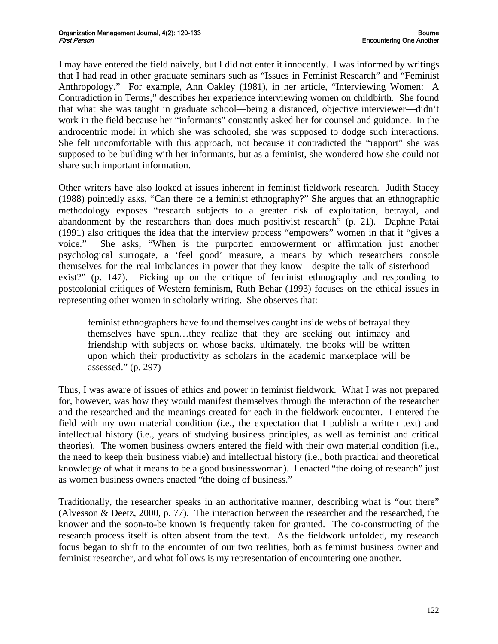I may have entered the field naively, but I did not enter it innocently. I was informed by writings that I had read in other graduate seminars such as "Issues in Feminist Research" and "Feminist Anthropology." For example, Ann Oakley (1981), in her article, "Interviewing Women: A Contradiction in Terms," describes her experience interviewing women on childbirth. She found that what she was taught in graduate school—being a distanced, objective interviewer—didn't work in the field because her "informants" constantly asked her for counsel and guidance. In the androcentric model in which she was schooled, she was supposed to dodge such interactions. She felt uncomfortable with this approach, not because it contradicted the "rapport" she was supposed to be building with her informants, but as a feminist, she wondered how she could not share such important information.

Other writers have also looked at issues inherent in feminist fieldwork research. Judith Stacey (1988) pointedly asks, "Can there be a feminist ethnography?" She argues that an ethnographic methodology exposes "research subjects to a greater risk of exploitation, betrayal, and abandonment by the researchers than does much positivist research" (p. 21). Daphne Patai (1991) also critiques the idea that the interview process "empowers" women in that it "gives a voice." She asks, "When is the purported empowerment or affirmation just another psychological surrogate, a 'feel good' measure, a means by which researchers console themselves for the real imbalances in power that they know—despite the talk of sisterhood exist?" (p. 147). Picking up on the critique of feminist ethnography and responding to postcolonial critiques of Western feminism, Ruth Behar (1993) focuses on the ethical issues in representing other women in scholarly writing. She observes that:

feminist ethnographers have found themselves caught inside webs of betrayal they themselves have spun…they realize that they are seeking out intimacy and friendship with subjects on whose backs, ultimately, the books will be written upon which their productivity as scholars in the academic marketplace will be assessed." (p. 297)

Thus, I was aware of issues of ethics and power in feminist fieldwork. What I was not prepared for, however, was how they would manifest themselves through the interaction of the researcher and the researched and the meanings created for each in the fieldwork encounter. I entered the field with my own material condition (i.e., the expectation that I publish a written text) and intellectual history (i.e., years of studying business principles, as well as feminist and critical theories). The women business owners entered the field with their own material condition (i.e., the need to keep their business viable) and intellectual history (i.e., both practical and theoretical knowledge of what it means to be a good businesswoman). I enacted "the doing of research" just as women business owners enacted "the doing of business."

Traditionally, the researcher speaks in an authoritative manner, describing what is "out there" (Alvesson & Deetz, 2000, p. 77). The interaction between the researcher and the researched, the knower and the soon-to-be known is frequently taken for granted. The co-constructing of the research process itself is often absent from the text. As the fieldwork unfolded, my research focus began to shift to the encounter of our two realities, both as feminist business owner and feminist researcher, and what follows is my representation of encountering one another.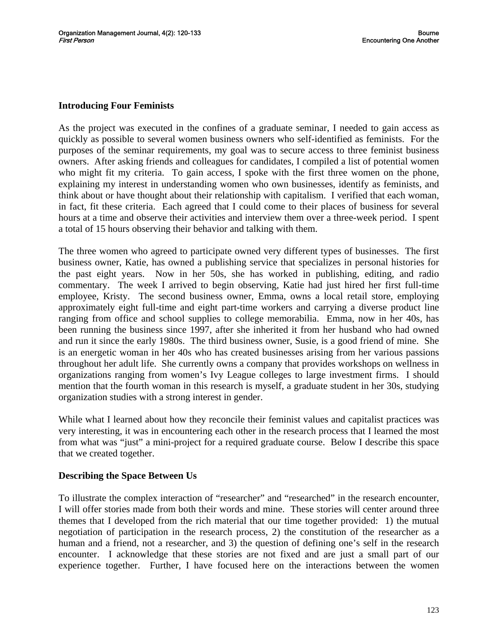#### **Introducing Four Feminists**

As the project was executed in the confines of a graduate seminar, I needed to gain access as quickly as possible to several women business owners who self-identified as feminists. For the purposes of the seminar requirements, my goal was to secure access to three feminist business owners. After asking friends and colleagues for candidates, I compiled a list of potential women who might fit my criteria. To gain access, I spoke with the first three women on the phone, explaining my interest in understanding women who own businesses, identify as feminists, and think about or have thought about their relationship with capitalism. I verified that each woman, in fact, fit these criteria. Each agreed that I could come to their places of business for several hours at a time and observe their activities and interview them over a three-week period. I spent a total of 15 hours observing their behavior and talking with them.

The three women who agreed to participate owned very different types of businesses. The first business owner, Katie, has owned a publishing service that specializes in personal histories for the past eight years. Now in her 50s, she has worked in publishing, editing, and radio commentary. The week I arrived to begin observing, Katie had just hired her first full-time employee, Kristy. The second business owner, Emma, owns a local retail store, employing approximately eight full-time and eight part-time workers and carrying a diverse product line ranging from office and school supplies to college memorabilia. Emma, now in her 40s, has been running the business since 1997, after she inherited it from her husband who had owned and run it since the early 1980s. The third business owner, Susie, is a good friend of mine. She is an energetic woman in her 40s who has created businesses arising from her various passions throughout her adult life. She currently owns a company that provides workshops on wellness in organizations ranging from women's Ivy League colleges to large investment firms. I should mention that the fourth woman in this research is myself, a graduate student in her 30s, studying organization studies with a strong interest in gender.

While what I learned about how they reconcile their feminist values and capitalist practices was very interesting, it was in encountering each other in the research process that I learned the most from what was "just" a mini-project for a required graduate course. Below I describe this space that we created together.

#### **Describing the Space Between Us**

To illustrate the complex interaction of "researcher" and "researched" in the research encounter, I will offer stories made from both their words and mine. These stories will center around three themes that I developed from the rich material that our time together provided: 1) the mutual negotiation of participation in the research process, 2) the constitution of the researcher as a human and a friend, not a researcher, and 3) the question of defining one's self in the research encounter. I acknowledge that these stories are not fixed and are just a small part of our experience together. Further, I have focused here on the interactions between the women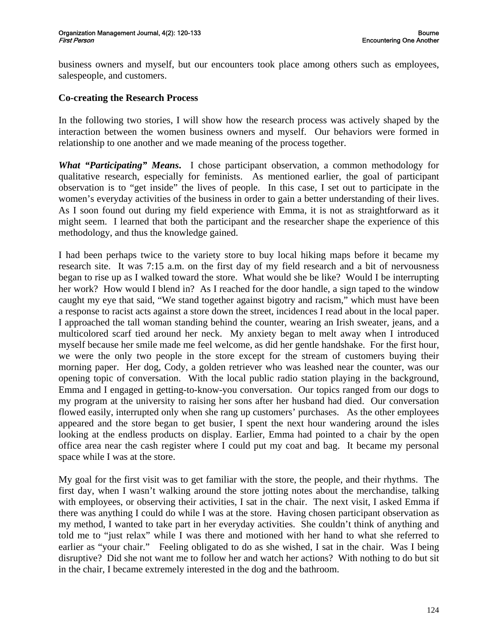business owners and myself, but our encounters took place among others such as employees, salespeople, and customers.

#### **Co-creating the Research Process**

In the following two stories, I will show how the research process was actively shaped by the interaction between the women business owners and myself. Our behaviors were formed in relationship to one another and we made meaning of the process together.

*What "Participating" Means***.** I chose participant observation, a common methodology for qualitative research, especially for feminists. As mentioned earlier, the goal of participant observation is to "get inside" the lives of people. In this case, I set out to participate in the women's everyday activities of the business in order to gain a better understanding of their lives. As I soon found out during my field experience with Emma, it is not as straightforward as it might seem. I learned that both the participant and the researcher shape the experience of this methodology, and thus the knowledge gained.

I had been perhaps twice to the variety store to buy local hiking maps before it became my research site. It was 7:15 a.m. on the first day of my field research and a bit of nervousness began to rise up as I walked toward the store. What would she be like? Would I be interrupting her work? How would I blend in? As I reached for the door handle, a sign taped to the window caught my eye that said, "We stand together against bigotry and racism," which must have been a response to racist acts against a store down the street, incidences I read about in the local paper. I approached the tall woman standing behind the counter, wearing an Irish sweater, jeans, and a multicolored scarf tied around her neck. My anxiety began to melt away when I introduced myself because her smile made me feel welcome, as did her gentle handshake. For the first hour, we were the only two people in the store except for the stream of customers buying their morning paper. Her dog, Cody, a golden retriever who was leashed near the counter, was our opening topic of conversation. With the local public radio station playing in the background, Emma and I engaged in getting-to-know-you conversation. Our topics ranged from our dogs to my program at the university to raising her sons after her husband had died. Our conversation flowed easily, interrupted only when she rang up customers' purchases. As the other employees appeared and the store began to get busier, I spent the next hour wandering around the isles looking at the endless products on display. Earlier, Emma had pointed to a chair by the open office area near the cash register where I could put my coat and bag. It became my personal space while I was at the store.

My goal for the first visit was to get familiar with the store, the people, and their rhythms. The first day, when I wasn't walking around the store jotting notes about the merchandise, talking with employees, or observing their activities, I sat in the chair. The next visit, I asked Emma if there was anything I could do while I was at the store. Having chosen participant observation as my method, I wanted to take part in her everyday activities. She couldn't think of anything and told me to "just relax" while I was there and motioned with her hand to what she referred to earlier as "your chair." Feeling obligated to do as she wished, I sat in the chair. Was I being disruptive? Did she not want me to follow her and watch her actions? With nothing to do but sit in the chair, I became extremely interested in the dog and the bathroom.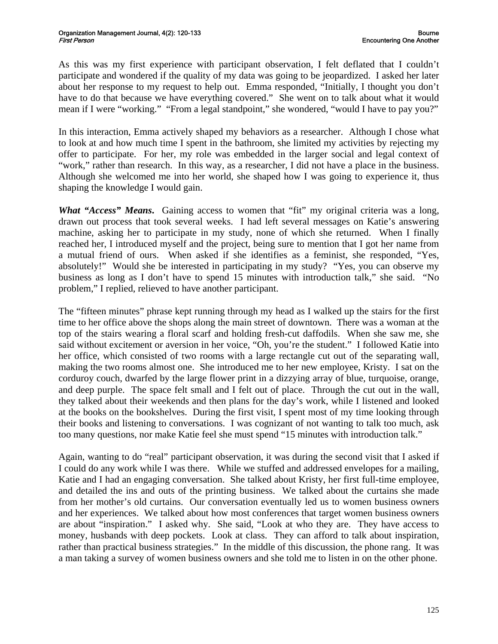As this was my first experience with participant observation, I felt deflated that I couldn't participate and wondered if the quality of my data was going to be jeopardized. I asked her later about her response to my request to help out. Emma responded, "Initially, I thought you don't have to do that because we have everything covered." She went on to talk about what it would mean if I were "working." "From a legal standpoint," she wondered, "would I have to pay you?"

In this interaction, Emma actively shaped my behaviors as a researcher. Although I chose what to look at and how much time I spent in the bathroom, she limited my activities by rejecting my offer to participate. For her, my role was embedded in the larger social and legal context of "work," rather than research. In this way, as a researcher, I did not have a place in the business. Although she welcomed me into her world, she shaped how I was going to experience it, thus shaping the knowledge I would gain.

What "Access" Means. Gaining access to women that "fit" my original criteria was a long, drawn out process that took several weeks. I had left several messages on Katie's answering machine, asking her to participate in my study, none of which she returned. When I finally reached her, I introduced myself and the project, being sure to mention that I got her name from a mutual friend of ours. When asked if she identifies as a feminist, she responded, "Yes, absolutely!" Would she be interested in participating in my study? "Yes, you can observe my business as long as I don't have to spend 15 minutes with introduction talk," she said. "No problem," I replied, relieved to have another participant.

The "fifteen minutes" phrase kept running through my head as I walked up the stairs for the first time to her office above the shops along the main street of downtown. There was a woman at the top of the stairs wearing a floral scarf and holding fresh-cut daffodils. When she saw me, she said without excitement or aversion in her voice, "Oh, you're the student." I followed Katie into her office, which consisted of two rooms with a large rectangle cut out of the separating wall, making the two rooms almost one. She introduced me to her new employee, Kristy. I sat on the corduroy couch, dwarfed by the large flower print in a dizzying array of blue, turquoise, orange, and deep purple. The space felt small and I felt out of place. Through the cut out in the wall, they talked about their weekends and then plans for the day's work, while I listened and looked at the books on the bookshelves. During the first visit, I spent most of my time looking through their books and listening to conversations. I was cognizant of not wanting to talk too much, ask too many questions, nor make Katie feel she must spend "15 minutes with introduction talk."

Again, wanting to do "real" participant observation, it was during the second visit that I asked if I could do any work while I was there. While we stuffed and addressed envelopes for a mailing, Katie and I had an engaging conversation. She talked about Kristy, her first full-time employee, and detailed the ins and outs of the printing business. We talked about the curtains she made from her mother's old curtains. Our conversation eventually led us to women business owners and her experiences. We talked about how most conferences that target women business owners are about "inspiration." I asked why. She said, "Look at who they are. They have access to money, husbands with deep pockets. Look at class. They can afford to talk about inspiration, rather than practical business strategies." In the middle of this discussion, the phone rang. It was a man taking a survey of women business owners and she told me to listen in on the other phone.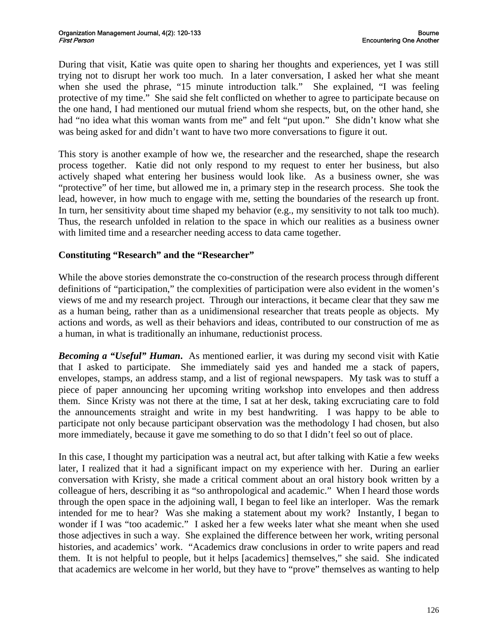During that visit, Katie was quite open to sharing her thoughts and experiences, yet I was still trying not to disrupt her work too much. In a later conversation, I asked her what she meant when she used the phrase, "15 minute introduction talk." She explained, "I was feeling protective of my time." She said she felt conflicted on whether to agree to participate because on the one hand, I had mentioned our mutual friend whom she respects, but, on the other hand, she had "no idea what this woman wants from me" and felt "put upon." She didn't know what she was being asked for and didn't want to have two more conversations to figure it out.

This story is another example of how we, the researcher and the researched, shape the research process together. Katie did not only respond to my request to enter her business, but also actively shaped what entering her business would look like. As a business owner, she was "protective" of her time, but allowed me in, a primary step in the research process. She took the lead, however, in how much to engage with me, setting the boundaries of the research up front. In turn, her sensitivity about time shaped my behavior (e.g., my sensitivity to not talk too much). Thus, the research unfolded in relation to the space in which our realities as a business owner with limited time and a researcher needing access to data came together.

#### **Constituting "Research" and the "Researcher"**

While the above stories demonstrate the co-construction of the research process through different definitions of "participation," the complexities of participation were also evident in the women's views of me and my research project. Through our interactions, it became clear that they saw me as a human being, rather than as a unidimensional researcher that treats people as objects. My actions and words, as well as their behaviors and ideas, contributed to our construction of me as a human, in what is traditionally an inhumane, reductionist process.

*Becoming a "Useful" Human***.** As mentioned earlier, it was during my second visit with Katie that I asked to participate. She immediately said yes and handed me a stack of papers, envelopes, stamps, an address stamp, and a list of regional newspapers. My task was to stuff a piece of paper announcing her upcoming writing workshop into envelopes and then address them. Since Kristy was not there at the time, I sat at her desk, taking excruciating care to fold the announcements straight and write in my best handwriting. I was happy to be able to participate not only because participant observation was the methodology I had chosen, but also more immediately, because it gave me something to do so that I didn't feel so out of place.

In this case, I thought my participation was a neutral act, but after talking with Katie a few weeks later, I realized that it had a significant impact on my experience with her. During an earlier conversation with Kristy, she made a critical comment about an oral history book written by a colleague of hers, describing it as "so anthropological and academic." When I heard those words through the open space in the adjoining wall, I began to feel like an interloper. Was the remark intended for me to hear? Was she making a statement about my work? Instantly, I began to wonder if I was "too academic." I asked her a few weeks later what she meant when she used those adjectives in such a way. She explained the difference between her work, writing personal histories, and academics' work. "Academics draw conclusions in order to write papers and read them. It is not helpful to people, but it helps [academics] themselves," she said. She indicated that academics are welcome in her world, but they have to "prove" themselves as wanting to help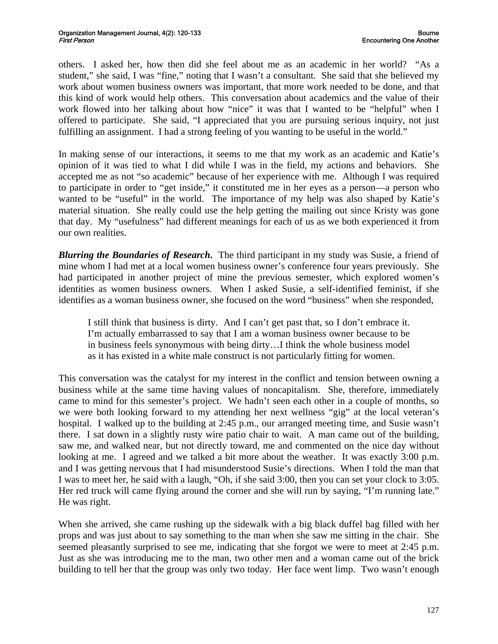others. I asked her, how then did she feel about me as an academic in her world? "As a student," she said, I was "fine," noting that I wasn't a consultant. She said that she believed my work about women business owners was important, that more work needed to be done, and that this kind of work would help others. This conversation about academics and the value of their work flowed into her talking about how "nice" it was that I wanted to be "helpful" when I offered to participate. She said, "I appreciated that you are pursuing serious inquiry, not just fulfilling an assignment. I had a strong feeling of you wanting to be useful in the world."

In making sense of our interactions, it seems to me that my work as an academic and Katie's opinion of it was tied to what I did while I was in the field, my actions and behaviors. She accepted me as not "so academic" because of her experience with me. Although I was required to participate in order to "get inside," it constituted me in her eyes as a person—a person who wanted to be "useful" in the world. The importance of my help was also shaped by Katie's material situation. She really could use the help getting the mailing out since Kristy was gone that day. My "usefulness" had different meanings for each of us as we both experienced it from our own realities.

*Blurring the Boundaries of Research***.** The third participant in my study was Susie, a friend of mine whom I had met at a local women business owner's conference four years previously. She had participated in another project of mine the previous semester, which explored women's identities as women business owners. When I asked Susie, a self-identified feminist, if she identifies as a woman business owner, she focused on the word "business" when she responded,

I still think that business is dirty. And I can't get past that, so I don't embrace it. I'm actually embarrassed to say that I am a woman business owner because to be in business feels synonymous with being dirty…I think the whole business model as it has existed in a white male construct is not particularly fitting for women.

This conversation was the catalyst for my interest in the conflict and tension between owning a business while at the same time having values of noncapitalism. She, therefore, immediately came to mind for this semester's project. We hadn't seen each other in a couple of months, so we were both looking forward to my attending her next wellness "gig" at the local veteran's hospital. I walked up to the building at 2:45 p.m., our arranged meeting time, and Susie wasn't there. I sat down in a slightly rusty wire patio chair to wait. A man came out of the building, saw me, and walked near, but not directly toward, me and commented on the nice day without looking at me. I agreed and we talked a bit more about the weather. It was exactly 3:00 p.m. and I was getting nervous that I had misunderstood Susie's directions. When I told the man that I was to meet her, he said with a laugh, "Oh, if she said 3:00, then you can set your clock to 3:05. Her red truck will came flying around the corner and she will run by saying, "I'm running late." He was right.

When she arrived, she came rushing up the sidewalk with a big black duffel bag filled with her props and was just about to say something to the man when she saw me sitting in the chair. She seemed pleasantly surprised to see me, indicating that she forgot we were to meet at 2:45 p.m. Just as she was introducing me to the man, two other men and a woman came out of the brick building to tell her that the group was only two today. Her face went limp. Two wasn't enough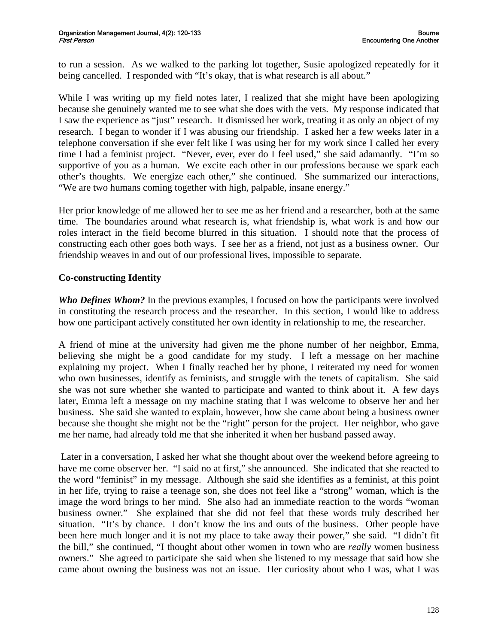to run a session. As we walked to the parking lot together, Susie apologized repeatedly for it being cancelled. I responded with "It's okay, that is what research is all about."

While I was writing up my field notes later, I realized that she might have been apologizing because she genuinely wanted me to see what she does with the vets. My response indicated that I saw the experience as "just" research. It dismissed her work, treating it as only an object of my research. I began to wonder if I was abusing our friendship. I asked her a few weeks later in a telephone conversation if she ever felt like I was using her for my work since I called her every time I had a feminist project. "Never, ever, ever do I feel used," she said adamantly. "I'm so supportive of you as a human. We excite each other in our professions because we spark each other's thoughts. We energize each other," she continued. She summarized our interactions, "We are two humans coming together with high, palpable, insane energy."

Her prior knowledge of me allowed her to see me as her friend and a researcher, both at the same time. The boundaries around what research is, what friendship is, what work is and how our roles interact in the field become blurred in this situation. I should note that the process of constructing each other goes both ways. I see her as a friend, not just as a business owner. Our friendship weaves in and out of our professional lives, impossible to separate.

#### **Co-constructing Identity**

*Who Defines Whom?* In the previous examples, I focused on how the participants were involved in constituting the research process and the researcher. In this section, I would like to address how one participant actively constituted her own identity in relationship to me, the researcher.

A friend of mine at the university had given me the phone number of her neighbor, Emma, believing she might be a good candidate for my study. I left a message on her machine explaining my project. When I finally reached her by phone, I reiterated my need for women who own businesses, identify as feminists, and struggle with the tenets of capitalism. She said she was not sure whether she wanted to participate and wanted to think about it. A few days later, Emma left a message on my machine stating that I was welcome to observe her and her business. She said she wanted to explain, however, how she came about being a business owner because she thought she might not be the "right" person for the project. Her neighbor, who gave me her name, had already told me that she inherited it when her husband passed away.

 Later in a conversation, I asked her what she thought about over the weekend before agreeing to have me come observer her. "I said no at first," she announced. She indicated that she reacted to the word "feminist" in my message. Although she said she identifies as a feminist, at this point in her life, trying to raise a teenage son, she does not feel like a "strong" woman, which is the image the word brings to her mind. She also had an immediate reaction to the words "woman business owner." She explained that she did not feel that these words truly described her situation. "It's by chance. I don't know the ins and outs of the business. Other people have been here much longer and it is not my place to take away their power," she said. "I didn't fit the bill," she continued, "I thought about other women in town who are *really* women business owners." She agreed to participate she said when she listened to my message that said how she came about owning the business was not an issue. Her curiosity about who I was, what I was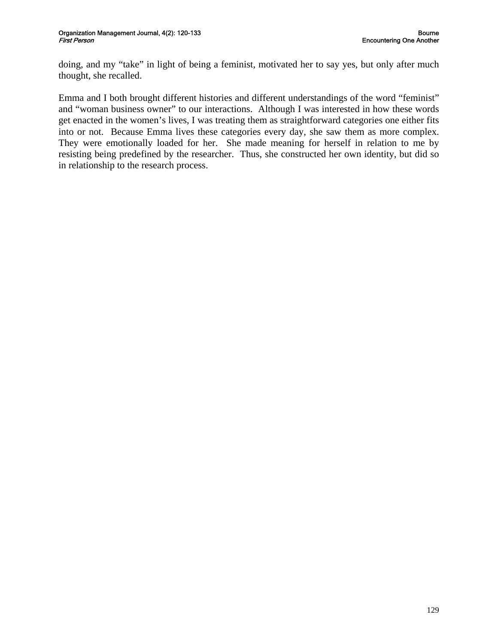doing, and my "take" in light of being a feminist, motivated her to say yes, but only after much thought, she recalled.

Emma and I both brought different histories and different understandings of the word "feminist" and "woman business owner" to our interactions. Although I was interested in how these words get enacted in the women's lives, I was treating them as straightforward categories one either fits into or not. Because Emma lives these categories every day, she saw them as more complex. They were emotionally loaded for her. She made meaning for herself in relation to me by resisting being predefined by the researcher. Thus, she constructed her own identity, but did so in relationship to the research process.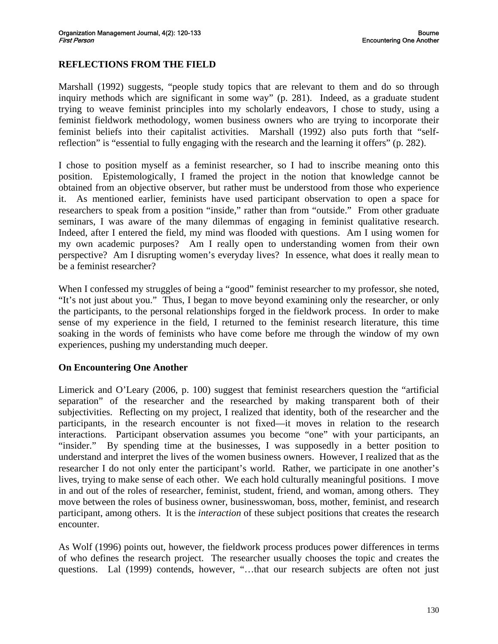#### **REFLECTIONS FROM THE FIELD**

Marshall (1992) suggests, "people study topics that are relevant to them and do so through inquiry methods which are significant in some way" (p. 281). Indeed, as a graduate student trying to weave feminist principles into my scholarly endeavors, I chose to study, using a feminist fieldwork methodology, women business owners who are trying to incorporate their feminist beliefs into their capitalist activities. Marshall (1992) also puts forth that "selfreflection" is "essential to fully engaging with the research and the learning it offers" (p. 282).

I chose to position myself as a feminist researcher, so I had to inscribe meaning onto this position. Epistemologically, I framed the project in the notion that knowledge cannot be obtained from an objective observer, but rather must be understood from those who experience it. As mentioned earlier, feminists have used participant observation to open a space for researchers to speak from a position "inside," rather than from "outside." From other graduate seminars, I was aware of the many dilemmas of engaging in feminist qualitative research. Indeed, after I entered the field, my mind was flooded with questions. Am I using women for my own academic purposes? Am I really open to understanding women from their own perspective? Am I disrupting women's everyday lives? In essence, what does it really mean to be a feminist researcher?

When I confessed my struggles of being a "good" feminist researcher to my professor, she noted, "It's not just about you." Thus, I began to move beyond examining only the researcher, or only the participants, to the personal relationships forged in the fieldwork process. In order to make sense of my experience in the field, I returned to the feminist research literature, this time soaking in the words of feminists who have come before me through the window of my own experiences, pushing my understanding much deeper.

#### **On Encountering One Another**

Limerick and O'Leary (2006, p. 100) suggest that feminist researchers question the "artificial separation" of the researcher and the researched by making transparent both of their subjectivities. Reflecting on my project, I realized that identity, both of the researcher and the participants, in the research encounter is not fixed—it moves in relation to the research interactions. Participant observation assumes you become "one" with your participants, an "insider." By spending time at the businesses, I was supposedly in a better position to understand and interpret the lives of the women business owners. However, I realized that as the researcher I do not only enter the participant's world. Rather, we participate in one another's lives, trying to make sense of each other. We each hold culturally meaningful positions. I move in and out of the roles of researcher, feminist, student, friend, and woman, among others. They move between the roles of business owner, businesswoman, boss, mother, feminist, and research participant, among others. It is the *interaction* of these subject positions that creates the research encounter.

As Wolf (1996) points out, however, the fieldwork process produces power differences in terms of who defines the research project. The researcher usually chooses the topic and creates the questions. Lal (1999) contends, however, "…that our research subjects are often not just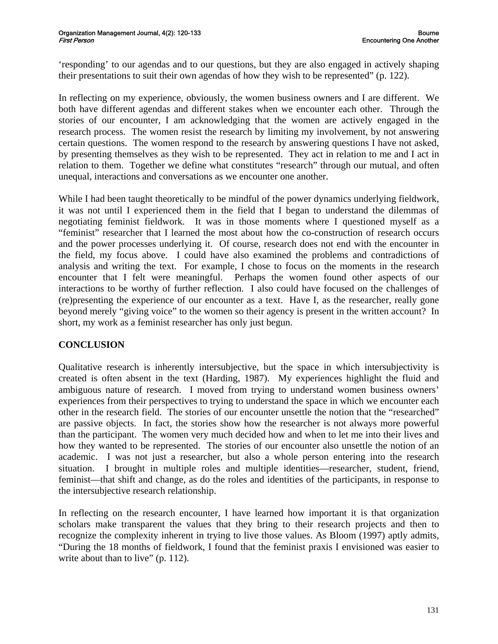'responding' to our agendas and to our questions, but they are also engaged in actively shaping their presentations to suit their own agendas of how they wish to be represented" (p. 122).

In reflecting on my experience, obviously, the women business owners and I are different. We both have different agendas and different stakes when we encounter each other. Through the stories of our encounter, I am acknowledging that the women are actively engaged in the research process. The women resist the research by limiting my involvement, by not answering certain questions. The women respond to the research by answering questions I have not asked, by presenting themselves as they wish to be represented. They act in relation to me and I act in relation to them. Together we define what constitutes "research" through our mutual, and often unequal, interactions and conversations as we encounter one another.

While I had been taught theoretically to be mindful of the power dynamics underlying fieldwork, it was not until I experienced them in the field that I began to understand the dilemmas of negotiating feminist fieldwork. It was in those moments where I questioned myself as a "feminist" researcher that I learned the most about how the co-construction of research occurs and the power processes underlying it. Of course, research does not end with the encounter in the field, my focus above. I could have also examined the problems and contradictions of analysis and writing the text. For example, I chose to focus on the moments in the research encounter that I felt were meaningful. Perhaps the women found other aspects of our interactions to be worthy of further reflection. I also could have focused on the challenges of (re)presenting the experience of our encounter as a text. Have I, as the researcher, really gone beyond merely "giving voice" to the women so their agency is present in the written account? In short, my work as a feminist researcher has only just begun.

#### **CONCLUSION**

Qualitative research is inherently intersubjective, but the space in which intersubjectivity is created is often absent in the text (Harding, 1987). My experiences highlight the fluid and ambiguous nature of research. I moved from trying to understand women business owners' experiences from their perspectives to trying to understand the space in which we encounter each other in the research field. The stories of our encounter unsettle the notion that the "researched" are passive objects. In fact, the stories show how the researcher is not always more powerful than the participant. The women very much decided how and when to let me into their lives and how they wanted to be represented. The stories of our encounter also unsettle the notion of an academic. I was not just a researcher, but also a whole person entering into the research situation. I brought in multiple roles and multiple identities—researcher, student, friend, feminist—that shift and change, as do the roles and identities of the participants, in response to the intersubjective research relationship.

In reflecting on the research encounter, I have learned how important it is that organization scholars make transparent the values that they bring to their research projects and then to recognize the complexity inherent in trying to live those values. As Bloom (1997) aptly admits, "During the 18 months of fieldwork, I found that the feminist praxis I envisioned was easier to write about than to live" (p. 112).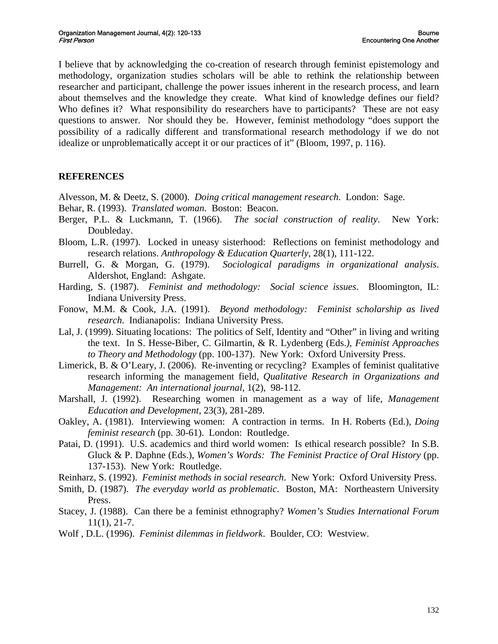I believe that by acknowledging the co-creation of research through feminist epistemology and methodology, organization studies scholars will be able to rethink the relationship between researcher and participant, challenge the power issues inherent in the research process, and learn about themselves and the knowledge they create. What kind of knowledge defines our field? Who defines it? What responsibility do researchers have to participants? These are not easy questions to answer. Nor should they be. However, feminist methodology "does support the possibility of a radically different and transformational research methodology if we do not idealize or unproblematically accept it or our practices of it" (Bloom, 1997, p. 116).

#### **REFERENCES**

- Alvesson, M. & Deetz, S. (2000). *Doing critical management research*. London: Sage.
- Behar, R. (1993). *Translated woman.* Boston: Beacon.
- Berger, P.L. & Luckmann, T. (1966). *The social construction of reality*. New York: Doubleday.
- Bloom, L.R. (1997). Locked in uneasy sisterhood: Reflections on feminist methodology and research relations. *Anthropology & Education Quarterly*, 28(1), 111-122.
- Burrell, G. & Morgan, G. (1979). *Sociological paradigms in organizational analysis*. Aldershot, England: Ashgate.
- Harding, S. (1987). *Feminist and methodology: Social science issues*. Bloomington, IL: Indiana University Press.
- Fonow, M.M. & Cook, J.A. (1991). *Beyond methodology: Feminist scholarship as lived research*. Indianapolis: Indiana University Press.
- Lal, J. (1999). Situating locations: The politics of Self, Identity and "Other" in living and writing the text. In S. Hesse-Biber, C. Gilmartin, & R. Lydenberg (Eds.*), Feminist Approaches to Theory and Methodology* (pp. 100-137). New York: Oxford University Press.
- Limerick, B. & O'Leary, J. (2006). Re-inventing or recycling? Examples of feminist qualitative research informing the management field, *Qualitative Research in Organizations and Management: An international journal*, 1(2), 98-112.
- Marshall, J. (1992). Researching women in management as a way of life, *Management Education and Development*, 23(3), 281-289.
- Oakley, A. (1981). Interviewing women: A contraction in terms. In H. Roberts (Ed.), *Doing feminist research* (pp. 30-61). London: Routledge.
- Patai, D. (1991). U.S. academics and third world women: Is ethical research possible? In S.B. Gluck & P. Daphne (Eds.), *Women's Words: The Feminist Practice of Oral History* (pp. 137-153). New York: Routledge.
- Reinharz, S. (1992). *Feminist methods in social research*. New York: Oxford University Press.
- Smith, D. (1987). *The everyday world as problematic*. Boston, MA: Northeastern University Press.
- Stacey, J. (1988). Can there be a feminist ethnography? *Women's Studies International Forum* 11(1), 21-7.
- Wolf , D.L. (1996). *Feminist dilemmas in fieldwork*. Boulder, CO: Westview.